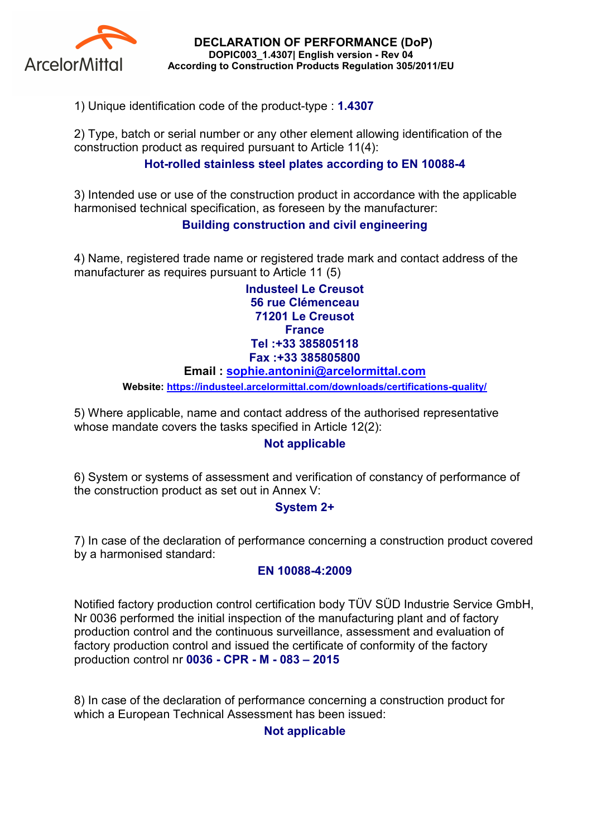

DECLARATION OF PERFORMANCE (DoP) DOPIC003\_1.4307| English version - Rev 04 According to Construction Products Regulation 305/2011/EU

1) Unique identification code of the product-type : 1.4307

2) Type, batch or serial number or any other element allowing identification of the construction product as required pursuant to Article 11(4):

## Hot-rolled stainless steel plates according to EN 10088-4

3) Intended use or use of the construction product in accordance with the applicable harmonised technical specification, as foreseen by the manufacturer:

## Building construction and civil engineering

4) Name, registered trade name or registered trade mark and contact address of the manufacturer as requires pursuant to Article 11 (5)

> Industeel Le Creusot 56 rue Clémenceau 71201 Le Creusot **France** Tel :+33 385805118 Fax :+33 385805800

#### Email : sophie.antonini@arcelormittal.com

Website: https://industeel.arcelormittal.com/downloads/certifications-quality/

5) Where applicable, name and contact address of the authorised representative whose mandate covers the tasks specified in Article 12(2):

### Not applicable

6) System or systems of assessment and verification of constancy of performance of the construction product as set out in Annex V:

### System 2+

7) In case of the declaration of performance concerning a construction product covered by a harmonised standard:

#### EN 10088-4:2009

Notified factory production control certification body TÜV SÜD Industrie Service GmbH, Nr 0036 performed the initial inspection of the manufacturing plant and of factory production control and the continuous surveillance, assessment and evaluation of factory production control and issued the certificate of conformity of the factory production control nr 0036 - CPR - M - 083 – 2015

8) In case of the declaration of performance concerning a construction product for which a European Technical Assessment has been issued:

### Not applicable